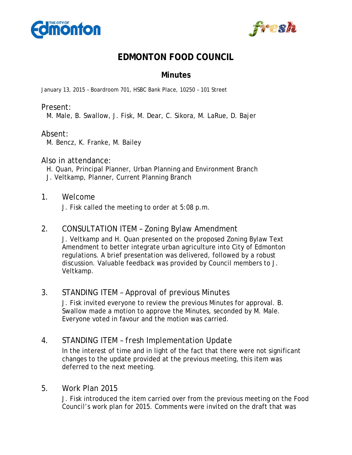



# **EDMONTON FOOD COUNCIL**

## **Minutes**

January 13, 2015 – Boardroom 701, HSBC Bank Place, 10250 – 101 Street

#### Present:

M. Male, B. Swallow, J. Fisk, M. Dear, C. Sikora, M. LaRue, D. Bajer

#### Absent:

M. Bencz, K. Franke, M. Bailey

#### Also in attendance:

H. Quan, Principal Planner, Urban Planning and Environment Branch J. Veltkamp, Planner, Current Planning Branch

#### 1. Welcome

J. Fisk called the meeting to order at 5:08 p.m.

## 2. CONSULTATION ITEM – Zoning Bylaw Amendment

J. Veltkamp and H. Quan presented on the proposed Zoning Bylaw Text Amendment to better integrate urban agriculture into City of Edmonton regulations. A brief presentation was delivered, followed by a robust discussion. Valuable feedback was provided by Council members to J. Veltkamp.

## 3. STANDING ITEM – Approval of previous Minutes

J. Fisk invited everyone to review the previous Minutes for approval. B. Swallow made a motion to approve the Minutes, seconded by M. Male. Everyone voted in favour and the motion was carried.

## 4. STANDING ITEM – *fresh* Implementation Update

In the interest of time and in light of the fact that there were not significant changes to the update provided at the previous meeting, this item was deferred to the next meeting.

## 5. Work Plan 2015

J. Fisk introduced the item carried over from the previous meeting on the Food Council's work plan for 2015. Comments were invited on the draft that was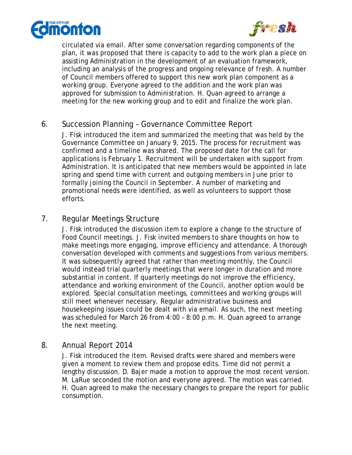



circulated via email. After some conversation regarding components of the plan, it was proposed that there is capacity to add to the work plan a piece on assisting Administration in the development of an evaluation framework, including an analysis of the progress and ongoing relevance of *fresh*. A number of Council members offered to support this new work plan component as a working group. Everyone agreed to the addition and the work plan was approved for submission to Administration. H. Quan agreed to arrange a meeting for the new working group and to edit and finalize the work plan.

## 6. Succession Planning – Governance Committee Report

J. Fisk introduced the item and summarized the meeting that was held by the Governance Committee on January 9, 2015. The process for recruitment was confirmed and a timeline was shared. The proposed date for the call for applications is February 1. Recruitment will be undertaken with support from Administration. It is anticipated that new members would be appointed in late spring and spend time with current and outgoing members in June prior to formally joining the Council in September. A number of marketing and promotional needs were identified, as well as volunteers to support those efforts.

## 7. Regular Meetings Structure

J. Fisk introduced the discussion item to explore a change to the structure of Food Council meetings. J. Fisk invited members to share thoughts on how to make meetings more engaging, improve efficiency and attendance. A thorough conversation developed with comments and suggestions from various members. It was subsequently agreed that rather than meeting monthly, the Council would instead trial quarterly meetings that were longer in duration and more substantial in content. If quarterly meetings do not improve the efficiency, attendance and working environment of the Council, another option would be explored. Special consultation meetings, committees and working groups will still meet whenever necessary. Regular administrative business and housekeeping issues could be dealt with via email. As such, the next meeting was scheduled for March 26 from 4:00 – 8:00 p.m. H. Quan agreed to arrange the next meeting.

#### 8. Annual Report 2014

J. Fisk introduced the item. Revised drafts were shared and members were given a moment to review them and propose edits. Time did not permit a lengthy discussion. D. Bajer made a motion to approve the most recent version. M. LaRue seconded the motion and everyone agreed. The motion was carried. H. Quan agreed to make the necessary changes to prepare the report for public consumption.